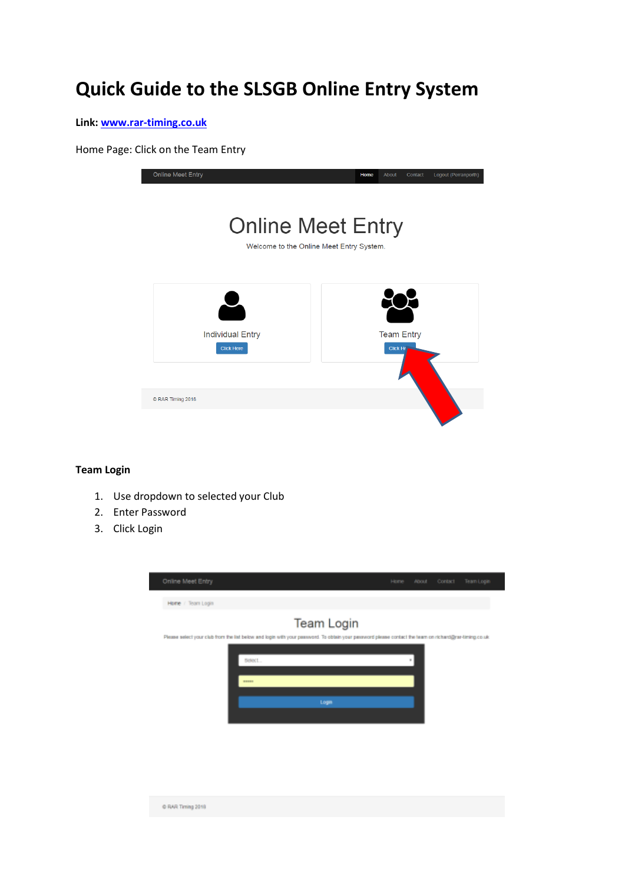# **Quick Guide to the SLSGB Online Entry System**

**Link: [www.rar-timing.co.uk](http://www.rar-timing.co.uk/)**

Home Page: Click on the Team Entry

| <b>Online Meet Entry</b>                     | Logout (Perranporth)<br>Home<br>About<br>Contact                     |
|----------------------------------------------|----------------------------------------------------------------------|
|                                              | <b>Online Meet Entry</b><br>Welcome to the Online Meet Entry System. |
|                                              |                                                                      |
| <b>Individual Entry</b><br><b>Click Here</b> | <b>Team Entry</b><br><b>Click He</b>                                 |
| © RAR Timing 2018                            |                                                                      |
|                                              |                                                                      |

# **Team Login**

1. Use dropdown to selected your Club

C RAR Timing 2019

- 2. Enter Password
- 3. Click Login

| Online Meet Entry                                                                                                                                     |        |            | Home. | About | Contact | Team Login |
|-------------------------------------------------------------------------------------------------------------------------------------------------------|--------|------------|-------|-------|---------|------------|
|                                                                                                                                                       |        |            |       |       |         |            |
| Home / Team Login                                                                                                                                     |        |            |       |       |         |            |
|                                                                                                                                                       |        | Team Login |       |       |         |            |
| Please select your club from the list below and login with your password. To obtain your password please contact the team on richard@rar-timing.co.uk |        |            |       |       |         |            |
|                                                                                                                                                       | Belect |            |       | u.    |         |            |
|                                                                                                                                                       |        |            |       |       |         |            |
|                                                                                                                                                       | -      |            |       |       |         |            |
|                                                                                                                                                       |        | Logn       |       |       |         |            |
|                                                                                                                                                       |        |            |       |       |         |            |
|                                                                                                                                                       |        |            |       |       |         |            |
|                                                                                                                                                       |        |            |       |       |         |            |
|                                                                                                                                                       |        |            |       |       |         |            |
|                                                                                                                                                       |        |            |       |       |         |            |
|                                                                                                                                                       |        |            |       |       |         |            |
|                                                                                                                                                       |        |            |       |       |         |            |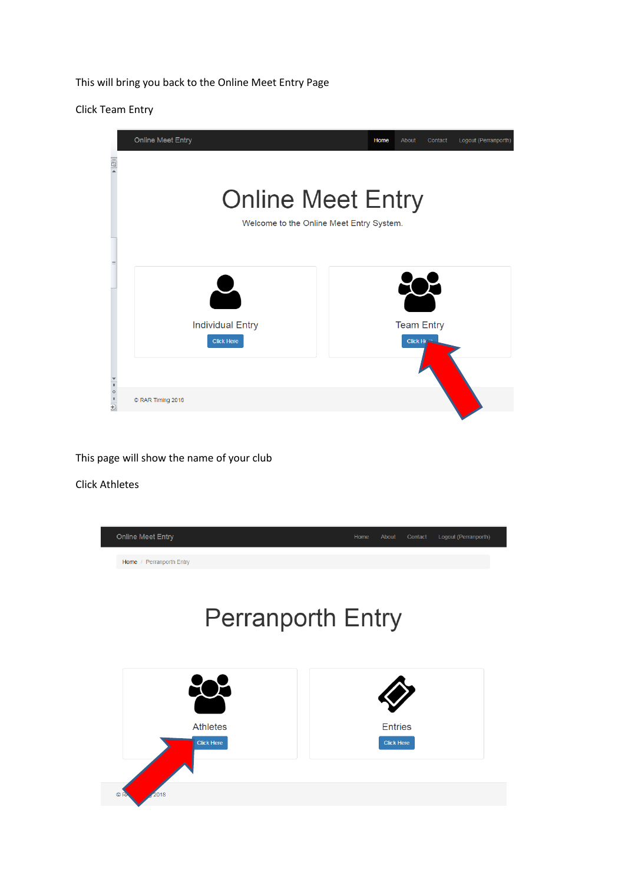This will bring you back to the Online Meet Entry Page

Click Team Entry

|                                                                                                    | <b>Online Meet Entry</b> | Home                                     | About<br>Contact  | Logout (Perranporth) |
|----------------------------------------------------------------------------------------------------|--------------------------|------------------------------------------|-------------------|----------------------|
| $\frac{1}{2}$                                                                                      |                          |                                          |                   |                      |
|                                                                                                    | <b>Online Meet Entry</b> |                                          |                   |                      |
|                                                                                                    |                          | Welcome to the Online Meet Entry System. |                   |                      |
|                                                                                                    |                          |                                          |                   |                      |
| $\equiv$                                                                                           |                          |                                          |                   |                      |
|                                                                                                    |                          |                                          |                   |                      |
|                                                                                                    | <b>Individual Entry</b>  |                                          | <b>Team Entry</b> |                      |
|                                                                                                    | <b>Click Here</b>        |                                          | Click He          |                      |
|                                                                                                    |                          |                                          |                   |                      |
| $\begin{array}{c}\n\blacktriangleright \\ \uparrow \\ \uparrow \\ 0\n\end{array}$<br>$\frac{1}{1}$ | © RAR Timing 2018        |                                          |                   |                      |

This page will show the name of your club

Click Athletes

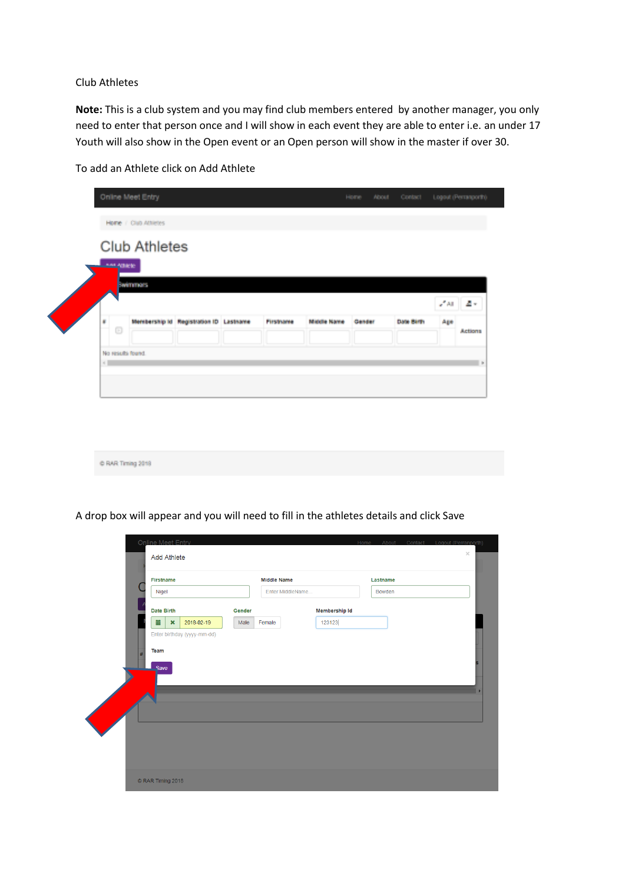#### Club Athletes

**Note:** This is a club system and you may find club members entered by another manager, you only need to enter that person once and I will show in each event they are able to enter i.e. an under 17 Youth will also show in the Open event or an Open person will show in the master if over 30.

|  | To add an Athlete click on Add Athlete |
|--|----------------------------------------|
|--|----------------------------------------|

|                                        | Home / Club Attietes<br><b>Club Athletes</b> |                                        |                  |             |                |            |                                               |         |
|----------------------------------------|----------------------------------------------|----------------------------------------|------------------|-------------|----------------|------------|-----------------------------------------------|---------|
|                                        |                                              |                                        |                  |             |                |            |                                               |         |
| <b>AMERICAN</b>                        |                                              |                                        |                  |             |                |            |                                               |         |
|                                        | <b>BARTETROS</b>                             |                                        |                  |             |                |            |                                               |         |
|                                        |                                              |                                        |                  |             |                |            | $\mathcal{L}^{\mathcal{P}}$ All $\mathcal{L}$ | 温室      |
| a.                                     |                                              | Membership Id Registration ID Lastname | <b>Firstname</b> | Middle Name | <b>Gatador</b> | Date Barth | Age                                           |         |
| $\begin{array}{c} \square \end{array}$ |                                              |                                        |                  |             |                |            |                                               | Actions |
| No results found                       |                                              |                                        |                  |             |                |            |                                               |         |
| $\frac{1}{2}$                          |                                              |                                        |                  |             |                |            |                                               |         |

C RAR Timing 2019

A drop box will appear and you will need to fill in the athletes details and click Save

|      | Firstname                                    |        | <b>Middle Name</b> | Lastname             |  |
|------|----------------------------------------------|--------|--------------------|----------------------|--|
|      | Nigel                                        |        | Enter MiddleName   | Bowden               |  |
|      | Date Birth                                   | Gender |                    | <b>Membership Id</b> |  |
|      | 量<br>$\boldsymbol{\mathsf{x}}$<br>2018-02-19 | Male   | 123123<br>Female   |                      |  |
|      |                                              |        |                    |                      |  |
| $\#$ | Team<br>Save                                 |        |                    |                      |  |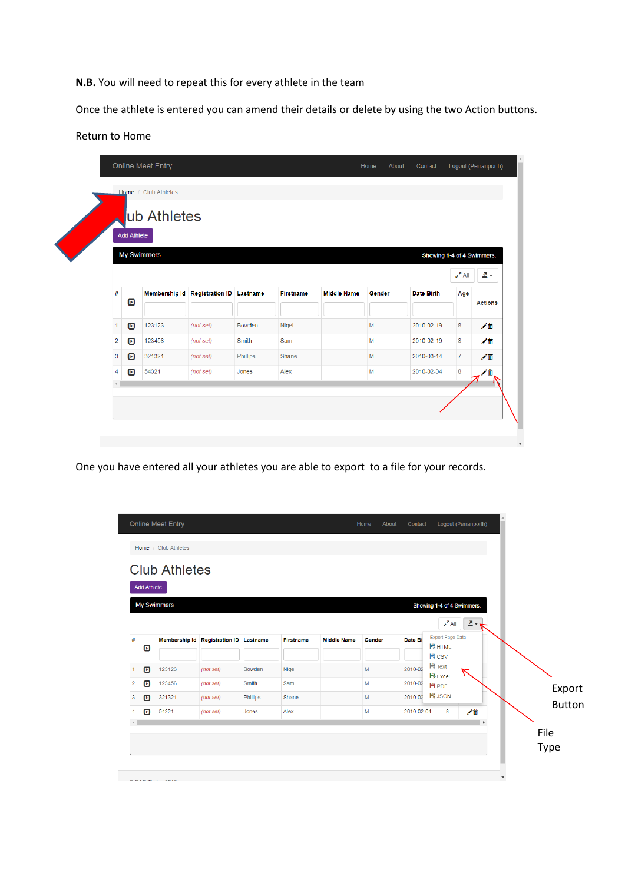**N.B.** You will need to repeat this for every athlete in the team

Once the athlete is entered you can amend their details or delete by using the two Action buttons.

# Return to Home

|                    | <b>Add Athlete</b>          | ub Athletes |                                        |          |                  |                    |        |            |                            |                |
|--------------------|-----------------------------|-------------|----------------------------------------|----------|------------------|--------------------|--------|------------|----------------------------|----------------|
| <b>My Swimmers</b> |                             |             |                                        |          |                  |                    |        |            | Showing 1-4 of 4 Swimmers. |                |
|                    |                             |             |                                        |          |                  |                    |        |            | $\epsilon$ All             | 촉시             |
| #                  | O                           |             | Membership Id Registration ID Lastname |          | <b>Firstname</b> | <b>Middle Name</b> | Gender | Date Birth | Age                        | <b>Actions</b> |
| 1                  | $\boldsymbol{\mathsf{\Xi}}$ | 123123      | (not set)                              | Bowden   | <b>Nigel</b>     |                    | M      | 2010-02-19 | 8                          | ╱≡             |
| $\overline{2}$     | $\boldsymbol{\mathsf{\Xi}}$ | 123456      | (not set)                              | Smith    | Sam              |                    | M      | 2010-02-19 | 8                          | ╱≡             |
| 3                  | $\boldsymbol{\mathsf{\Xi}}$ | 321321      | (not set)                              | Phillips | Shane            |                    | M      | 2010-03-14 | $\overline{7}$             | ╱氚             |
| 4                  | ▣                           | 54321       | (not set)                              | Jones    | Alex             |                    | M      | 2010-02-04 | 8                          | ∕₩             |

One you have entered all your athletes you are able to export to a file for your records.

| <b>Add Athlete</b><br><b>My Swimmers</b> |        |                                        |              |                  |                    |        |            |                                          |                          |               |
|------------------------------------------|--------|----------------------------------------|--------------|------------------|--------------------|--------|------------|------------------------------------------|--------------------------|---------------|
|                                          |        |                                        |              |                  |                    |        |            |                                          |                          |               |
|                                          |        |                                        |              |                  |                    |        |            | Showing 1-4 of 4 Swimmers.               |                          |               |
|                                          |        |                                        |              |                  |                    |        |            | $\epsilon$ <sup>A</sup> All              | $2 - \frac{1}{\sqrt{2}}$ |               |
| #<br>O                                   |        | Membership Id Registration ID Lastname |              | <b>Firstname</b> | <b>Middle Name</b> | Gender | Date Bi    | <b>Export Page Data</b><br><b>B</b> HTML |                          |               |
|                                          |        |                                        |              |                  |                    |        |            | ■ CSV                                    |                          |               |
| $\boldsymbol{\mathsf{\Theta}}$           | 123123 | (not set)                              | Bowden       | Nigel            |                    | M      | 2010-02    | ■ Text<br>$\mathbb{R}$ Excel             |                          |               |
| O<br>$\overline{2}$                      | 123456 | (not set)                              | <b>Smith</b> | Sam              |                    | M      | 2010-02    | H PDF                                    |                          | Export        |
| $\boldsymbol{\mathsf{\Xi}}$<br>3         | 321321 | (not set)                              | Phillips     | Shane            |                    | M      | 2010-03    | <b>E</b> JSON                            |                          | <b>Button</b> |
| ø<br>4                                   | 54321  | (not set)                              | Jones        | Alex             |                    | M      | 2010-02-04 | 8                                        | 才意                       |               |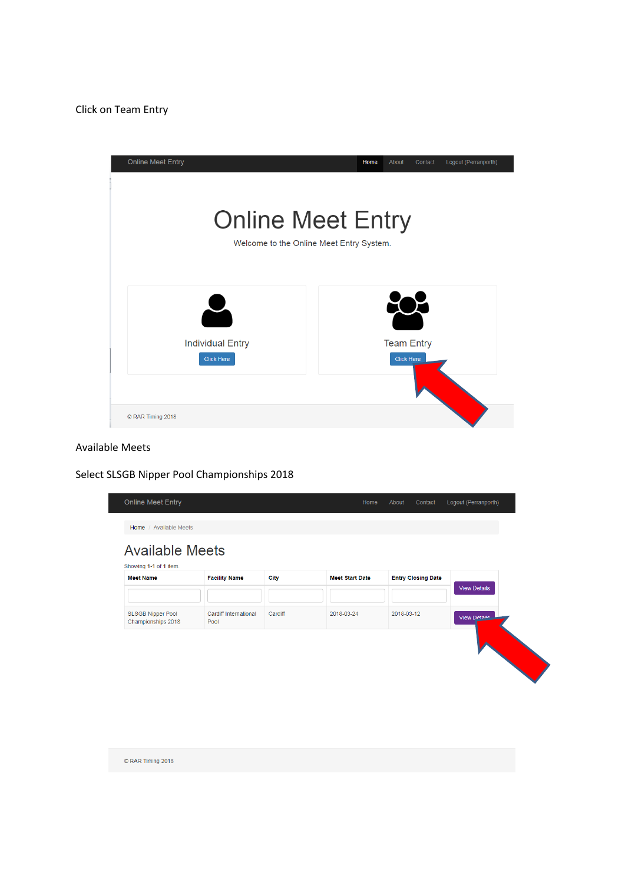

# Available Meets

Select SLSGB Nipper Pool Championships 2018

| <b>Meet Name</b>         | <b>Facility Name</b>          | City    | <b>Meet Start Date</b> | <b>Entry Closing Date</b> | <b>View Details</b> |
|--------------------------|-------------------------------|---------|------------------------|---------------------------|---------------------|
| <b>SLSGB Nipper Pool</b> | Cardiff International<br>Pool | Cardiff | 2018-03-24             | 2018-03-12                | View Detaile        |
| Championships 2018       |                               |         |                        |                           |                     |
|                          |                               |         |                        |                           |                     |

C RAR Timing 2018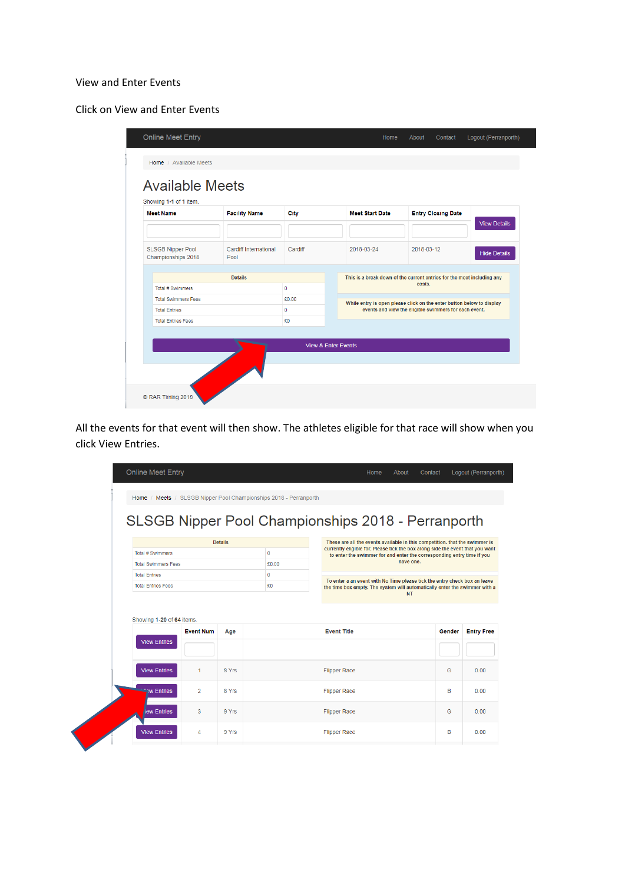#### View and Enter Events

Click on View and Enter Events

| <b>Meet Name</b>                               | <b>Facility Name</b>          | City         | <b>Meet Start Date</b> | <b>Entry Closing Date</b>                                                                                                      |                     |  |  |  |
|------------------------------------------------|-------------------------------|--------------|------------------------|--------------------------------------------------------------------------------------------------------------------------------|---------------------|--|--|--|
|                                                |                               |              |                        |                                                                                                                                | <b>View Details</b> |  |  |  |
| <b>SLSGB Nipper Pool</b><br>Championships 2018 | Cardiff International<br>Pool | Cardiff      | 2018-03-24             | 2018-03-12                                                                                                                     | <b>Hide Details</b> |  |  |  |
|                                                | <b>Details</b>                |              |                        | This is a break down of the current entries for the meet including any                                                         |                     |  |  |  |
| Total # Swimmers                               |                               | $\mathbf{0}$ | costs.                 |                                                                                                                                |                     |  |  |  |
| <b>Total Swimmers Fees</b>                     |                               | £0.00        |                        | While entry is open please click on the enter button below to display<br>events and view the eligible swimmers for each event. |                     |  |  |  |
| <b>Total Entries</b>                           |                               | $\mathbf{0}$ |                        |                                                                                                                                |                     |  |  |  |
| <b>Total Entries Fees</b>                      |                               | £O           |                        |                                                                                                                                |                     |  |  |  |

All the events for that event will then show. The athletes eligible for that race will show when you click View Entries.

|                            | Home / Meets / SLSGB Nipper Pool Championships 2018 - Perranporth |                |              |                                                                                                                                                          |                                                                           |                           |  |  |  |
|----------------------------|-------------------------------------------------------------------|----------------|--------------|----------------------------------------------------------------------------------------------------------------------------------------------------------|---------------------------------------------------------------------------|---------------------------|--|--|--|
|                            |                                                                   |                |              |                                                                                                                                                          |                                                                           |                           |  |  |  |
|                            |                                                                   |                |              | SLSGB Nipper Pool Championships 2018 - Perranporth                                                                                                       |                                                                           |                           |  |  |  |
|                            |                                                                   | <b>Details</b> |              | These are all the events available in this competition. that the swimmer is                                                                              |                                                                           |                           |  |  |  |
| <b>Total # Swimmers</b>    |                                                                   |                | $\circ$      | currently eligible for. Please tick the box along side the event that you want<br>to enter the swimmer for and enter the corresponding entry time if you |                                                                           |                           |  |  |  |
| <b>Total Swimmers Fees</b> |                                                                   |                | £0.00        |                                                                                                                                                          | have one.                                                                 |                           |  |  |  |
| <b>Total Entries</b>       |                                                                   |                | $\mathbf{0}$ |                                                                                                                                                          | To enter a an event with No Time please tick the entry check box an leave |                           |  |  |  |
| <b>Total Entries Fees</b>  |                                                                   |                | £O           | the time box empty. The system will automatically enter the swimmer with a                                                                               | <b>NT</b>                                                                 |                           |  |  |  |
| Showing 1-20 of 64 items.  |                                                                   |                |              |                                                                                                                                                          |                                                                           |                           |  |  |  |
|                            | <b>Event Num</b>                                                  | Age            |              | <b>Event Title</b>                                                                                                                                       | Gender                                                                    |                           |  |  |  |
| <b>View Entries</b>        |                                                                   |                |              |                                                                                                                                                          |                                                                           |                           |  |  |  |
| <b>View Entries</b>        | 1                                                                 | 8 Yrs          |              | <b>Flipper Race</b>                                                                                                                                      | G                                                                         | 0.00                      |  |  |  |
| <b>Entries</b>             | $\overline{2}$                                                    | 8 Yrs          |              | <b>Flipper Race</b>                                                                                                                                      | B                                                                         | <b>Entry Free</b><br>0.00 |  |  |  |
| lew Entries                | 3                                                                 | 9 Yrs          |              | <b>Flipper Race</b>                                                                                                                                      | G                                                                         | 0.00                      |  |  |  |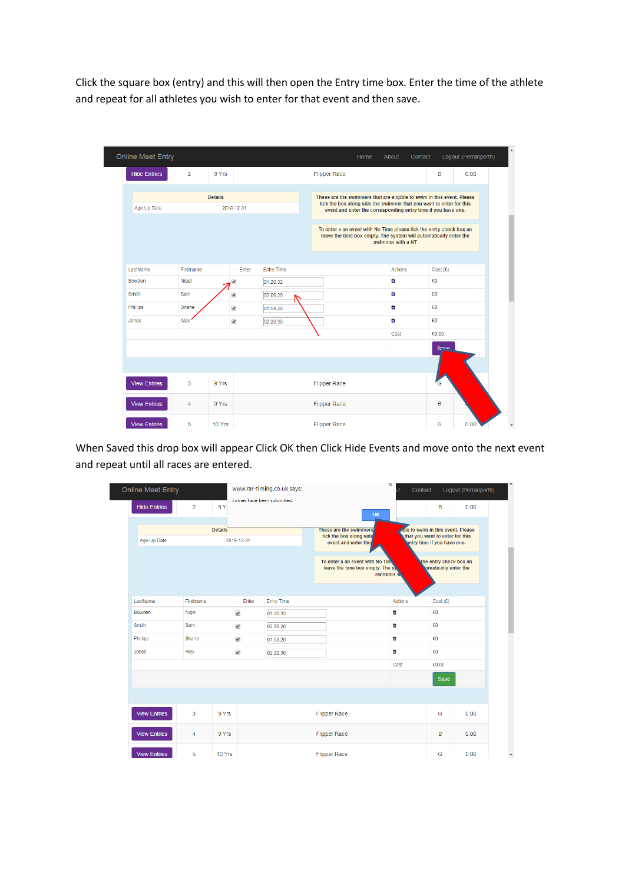Click the square box (entry) and this will then open the Entry time box. Enter the time of the athlete and repeat for all athletes you wish to enter for that event and then save.

| <b>Online Meet Entry</b> |                |                |                      |                   | Home                                                                                                                                          | About<br>Contact  |         | Logout (Perranporth) |  |
|--------------------------|----------------|----------------|----------------------|-------------------|-----------------------------------------------------------------------------------------------------------------------------------------------|-------------------|---------|----------------------|--|
| <b>Hide Entries</b>      | $\overline{2}$ | 8 Yrs          |                      |                   | <b>Flipper Race</b>                                                                                                                           |                   | B       | 0.00                 |  |
|                          |                | <b>Details</b> |                      |                   | These are the swimmers that are eligible to swim in this event. Please<br>tick the box along side the swimmer that you want to enter for this |                   |         |                      |  |
| Age Up Date              |                |                | 2018-12-31           |                   | event and enter the corresponding entry time if you have one.                                                                                 |                   |         |                      |  |
|                          |                |                |                      |                   | To enter a an event with No Time please tick the entry check box an<br>leave the time box empty. The system will automatically enter the      | swimmer with a NT |         |                      |  |
| LastName                 | Firstname      |                | Enter                | <b>Entry Time</b> |                                                                                                                                               | Actions           | Cost(f) |                      |  |
| Bowden                   | Nigel          |                | ✔                    | 01:20.32          |                                                                                                                                               | û                 | £O      |                      |  |
| Smith                    | Sam            |                | $\blacktriangledown$ | 02:00.20          |                                                                                                                                               | û                 | £O      |                      |  |
| Phillips                 | Shane          |                | ✔                    | 01:59.20          |                                                                                                                                               | û                 | £O      |                      |  |
| Jones                    | Alex           |                | $\blacktriangledown$ | 02:20.30          |                                                                                                                                               | û                 | £O      |                      |  |
|                          |                |                |                      |                   |                                                                                                                                               | Cost              | £0.00   |                      |  |
|                          |                |                |                      |                   |                                                                                                                                               |                   | Save    |                      |  |
|                          |                |                |                      |                   |                                                                                                                                               |                   |         |                      |  |
| <b>View Entries</b>      | 3              | 9 Yrs          |                      |                   | <b>Flipper Race</b>                                                                                                                           |                   | G       |                      |  |
| <b>View Entries</b>      | $\overline{4}$ | 9 Yrs          |                      |                   | <b>Flipper Race</b>                                                                                                                           |                   | B       |                      |  |
| <b>View Entries</b>      | 5              | 10 Yrs         |                      |                   | <b>Flipper Race</b>                                                                                                                           |                   | G       | 0.00                 |  |

When Saved this drop box will appear Click OK then Click Hide Events and move onto the next event and repeat until all races are entered.

| <b>Online Meet Entry</b>  |                |        | www.rar-timing.co.uk says: |                              |                                                                                                                                   |                                                                           | ж<br>ut | Contact |                                                                                                     | Logout (Perranporth) |
|---------------------------|----------------|--------|----------------------------|------------------------------|-----------------------------------------------------------------------------------------------------------------------------------|---------------------------------------------------------------------------|---------|---------|-----------------------------------------------------------------------------------------------------|----------------------|
| <b>Hide Entries</b>       | $\overline{2}$ | 8 Y    |                            | Entries have been submitted. |                                                                                                                                   | OK                                                                        |         |         | в                                                                                                   | 0.00                 |
| <b>Details</b>            |                |        |                            |                              |                                                                                                                                   | These are the swimmers.<br>tick the box along side<br>event and enter the |         |         | ole to swim in this event. Please<br>that you want to enter for this<br>entry time if you have one. |                      |
| 2018-12-31<br>Age Up Date |                |        |                            |                              |                                                                                                                                   |                                                                           |         |         |                                                                                                     |                      |
|                           |                |        |                            |                              | To enter a an event with No Time<br>the entry check box an<br>omatically enter the<br>leave the time box empty. The sy<br>swimmer |                                                                           |         |         |                                                                                                     |                      |
|                           |                |        |                            |                              |                                                                                                                                   |                                                                           |         |         |                                                                                                     |                      |
| LastName                  | Firstname      |        | Enter                      | <b>Entry Time</b>            |                                                                                                                                   |                                                                           |         | Actions | Cost (£)                                                                                            |                      |
| Bowden                    | Nigel          |        | $\blacktriangledown$       | 01:20.32                     |                                                                                                                                   |                                                                           | œ       |         | £O                                                                                                  |                      |
| Smith                     | Sam            |        | $\blacktriangledown$       | 02:00.20                     |                                                                                                                                   |                                                                           | ŵ       |         | £O                                                                                                  |                      |
| Phillips                  | Shane          |        | $\blacktriangledown$       | 01:59.20                     |                                                                                                                                   |                                                                           | ŵ       |         | £O                                                                                                  |                      |
| Jones                     | Alex           |        | $\blacktriangledown$       | 02:20.30                     |                                                                                                                                   |                                                                           | û       |         | £O                                                                                                  |                      |
|                           |                |        |                            |                              | Cost                                                                                                                              |                                                                           | £0.00   |         |                                                                                                     |                      |
|                           |                |        |                            |                              |                                                                                                                                   |                                                                           |         |         | <b>Save</b>                                                                                         |                      |
|                           |                |        |                            |                              |                                                                                                                                   |                                                                           |         |         |                                                                                                     |                      |
| <b>View Entries</b>       | 3              | 9 Yrs  |                            |                              |                                                                                                                                   | <b>Flipper Race</b>                                                       |         |         | G                                                                                                   | 0.00                 |
| <b>View Entries</b>       | 4              | 9 Yrs  |                            |                              |                                                                                                                                   | <b>Flipper Race</b>                                                       |         |         | B                                                                                                   | 0.00                 |
| <b>View Entries</b>       | 5              | 10 Yrs |                            |                              |                                                                                                                                   | <b>Flipper Race</b>                                                       |         |         | G                                                                                                   | 0.00                 |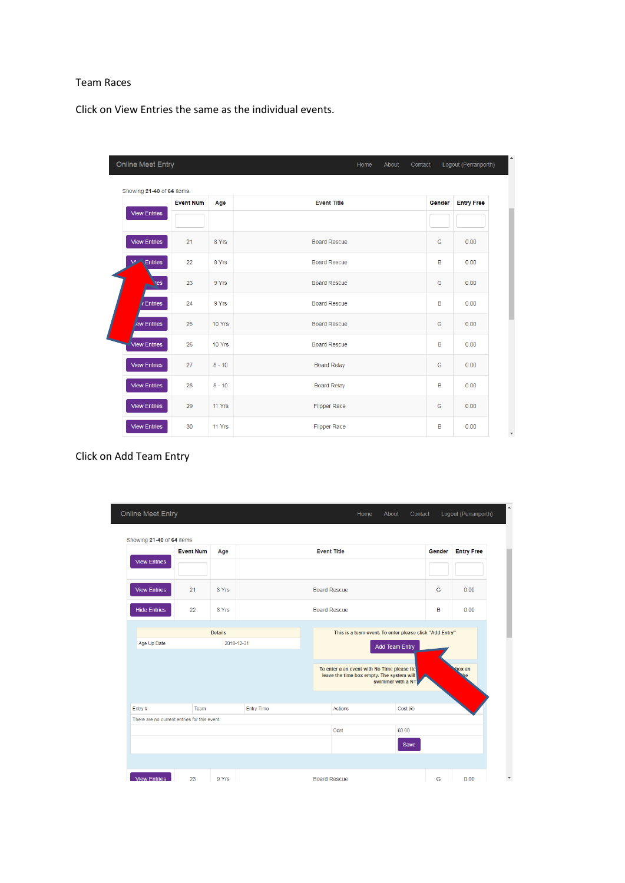### Team Races

Click on View Entries the same as the individual events.

| Online Meet Entry            |                  |          | Home<br>About<br>Contact |        | Logout (Perranporth) |
|------------------------------|------------------|----------|--------------------------|--------|----------------------|
| Showing 21-40 of 64 items.   | <b>Event Num</b> | Age      | <b>Event Title</b>       | Gender | <b>Entry Free</b>    |
| <b>View Entries</b>          |                  |          |                          |        |                      |
| <b>View Entries</b>          | 21               | 8 Yrs    | <b>Board Rescue</b>      | G      | 0.00                 |
| <b>V<sub>i</sub></b> Entries | 22               | 8 Yrs    | <b>Board Rescue</b>      | B      | 0.00                 |
| ies                          | 23               | 9 Yrs    | <b>Board Rescue</b>      | G      | 0.00                 |
| Entries                      | 24               | 9 Yrs    | <b>Board Rescue</b>      | B      | 0.00                 |
| ew Entries                   | 25               | 10 Yrs   | <b>Board Rescue</b>      | G      | 0.00                 |
| <b>View Entries</b>          | 26               | 10 Yrs   | <b>Board Rescue</b>      | B      | 0.00                 |
| <b>View Entries</b>          | 27               | $8 - 10$ | <b>Board Relay</b>       | G      | 0.00                 |
| <b>View Entries</b>          | 28               | $8 - 10$ | <b>Board Relay</b>       | B      | 0.00                 |
| <b>View Entries</b>          | 29               | 11 Yrs   | <b>Flipper Race</b>      | G      | 0.00                 |
| <b>View Entries</b>          | 30               | 11 Yrs   | <b>Flipper Race</b>      | B      | 0.00                 |

# Click on Add Team Entry

|                     | <b>Event Num</b><br>Age<br><b>View Entries</b> |                |                     | <b>Event Title</b>                                                                                            |                                                         |                       | Gender | <b>Entry Free</b> |
|---------------------|------------------------------------------------|----------------|---------------------|---------------------------------------------------------------------------------------------------------------|---------------------------------------------------------|-----------------------|--------|-------------------|
|                     |                                                |                |                     |                                                                                                               |                                                         |                       |        |                   |
| <b>View Entries</b> | 21                                             | 8 Yrs          | <b>Board Rescue</b> |                                                                                                               |                                                         |                       | G      | 0.00              |
| <b>Hide Entries</b> | 22                                             | 8 Yrs          |                     | <b>Board Rescue</b>                                                                                           |                                                         |                       | B      | 0.00              |
|                     |                                                | <b>Details</b> |                     |                                                                                                               | This is a team event. To enter please click "Add Entry" |                       |        |                   |
| Age Up Date         |                                                | 2018-12-31     |                     |                                                                                                               |                                                         | <b>Add Team Entry</b> |        |                   |
|                     |                                                |                |                     | To enter a an event with No Time please tic<br>leave the time box empty. The system will<br>swimmer with a NT |                                                         |                       | box an |                   |
|                     |                                                |                |                     |                                                                                                               |                                                         |                       |        |                   |
|                     |                                                |                |                     |                                                                                                               |                                                         |                       |        |                   |
| Entry#              | Team                                           |                | <b>Entry Time</b>   |                                                                                                               | Actions                                                 | Cost(f)               |        |                   |
|                     | There are no current entries for this event.   |                |                     |                                                                                                               |                                                         |                       |        |                   |
|                     |                                                |                |                     |                                                                                                               |                                                         |                       |        |                   |